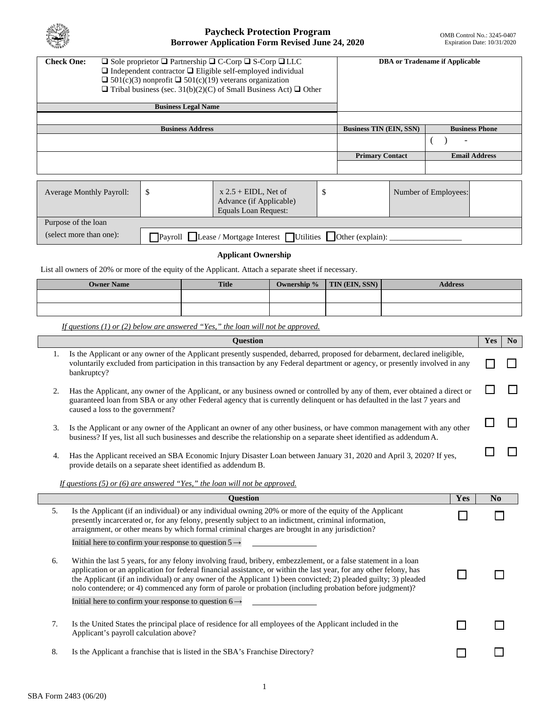

| $\Box$ Sole proprietor $\Box$ Partnership $\Box$ C-Corp $\Box$ S-Corp $\Box$ LLC<br><b>Check One:</b><br>$\Box$ Independent contractor $\Box$ Eligible self-employed individual<br>$\Box$ 501(c)(3) nonprofit $\Box$ 501(c)(19) veterans organization<br>$\Box$ Tribal business (sec. 31(b)(2)(C) of Small Business Act) $\Box$ Other |  |  |           | <b>DBA</b> or Tradename if Applicable |                        |                       |                          |                      |
|---------------------------------------------------------------------------------------------------------------------------------------------------------------------------------------------------------------------------------------------------------------------------------------------------------------------------------------|--|--|-----------|---------------------------------------|------------------------|-----------------------|--------------------------|----------------------|
| <b>Business Legal Name</b>                                                                                                                                                                                                                                                                                                            |  |  |           |                                       |                        |                       |                          |                      |
|                                                                                                                                                                                                                                                                                                                                       |  |  |           |                                       |                        |                       |                          |                      |
| <b>Business Address</b>                                                                                                                                                                                                                                                                                                               |  |  |           | <b>Business TIN (EIN, SSN)</b>        |                        | <b>Business Phone</b> |                          |                      |
|                                                                                                                                                                                                                                                                                                                                       |  |  |           |                                       |                        |                       | $\overline{\phantom{a}}$ |                      |
|                                                                                                                                                                                                                                                                                                                                       |  |  |           |                                       | <b>Primary Contact</b> |                       |                          | <b>Email Address</b> |
|                                                                                                                                                                                                                                                                                                                                       |  |  |           |                                       |                        |                       |                          |                      |
|                                                                                                                                                                                                                                                                                                                                       |  |  |           |                                       |                        |                       |                          |                      |
|                                                                                                                                                                                                                                                                                                                                       |  |  | TITNT, M. | $\overline{a}$                        |                        |                       |                          |                      |

| <b>Average Monthly Payroll:</b> |                                                                                   | $x 2.5 + EIDL$ , Net of<br>Advance (if Applicable)<br>Equals Loan Request: |  | Number of Employees: |  |  |
|---------------------------------|-----------------------------------------------------------------------------------|----------------------------------------------------------------------------|--|----------------------|--|--|
| Purpose of the loan             |                                                                                   |                                                                            |  |                      |  |  |
| (select more than one):         | Payroll $\Box$ Lease / Mortgage Interest $\Box$ Utilities $\Box$ Other (explain): |                                                                            |  |                      |  |  |

# **Applicant Ownership**

List all owners of 20% or more of the equity of the Applicant. Attach a separate sheet if necessary.

| <b>Owner Name</b> | <b>Title</b> | Ownership % | <b>TIN (EIN, SSN)</b> | <b>Address</b> |
|-------------------|--------------|-------------|-----------------------|----------------|
|                   |              |             |                       |                |
|                   |              |             |                       |                |

*If questions (1) or (2) below are answered "Yes," the loan will not be approved.* 

|    | <b>Question</b>                                                                                                                                                                                                                                                                                                                                                                                                                                                    |     | Yes | No |
|----|--------------------------------------------------------------------------------------------------------------------------------------------------------------------------------------------------------------------------------------------------------------------------------------------------------------------------------------------------------------------------------------------------------------------------------------------------------------------|-----|-----|----|
| 1. | Is the Applicant or any owner of the Applicant presently suspended, debarred, proposed for debarment, declared ineligible,<br>voluntarily excluded from participation in this transaction by any Federal department or agency, or presently involved in any<br>bankruptcy?                                                                                                                                                                                         |     |     |    |
| 2. | Has the Applicant, any owner of the Applicant, or any business owned or controlled by any of them, ever obtained a direct or<br>guaranteed loan from SBA or any other Federal agency that is currently delinquent or has defaulted in the last 7 years and<br>caused a loss to the government?                                                                                                                                                                     |     |     |    |
| 3. | Is the Applicant or any owner of the Applicant an owner of any other business, or have common management with any other<br>business? If yes, list all such businesses and describe the relationship on a separate sheet identified as addendum A.                                                                                                                                                                                                                  |     |     |    |
| 4. | Has the Applicant received an SBA Economic Injury Disaster Loan between January 31, 2020 and April 3, 2020? If yes,<br>provide details on a separate sheet identified as addendum B.                                                                                                                                                                                                                                                                               |     |     |    |
|    | If questions (5) or (6) are answered "Yes," the loan will not be approved.                                                                                                                                                                                                                                                                                                                                                                                         |     |     |    |
|    | <b>Question</b>                                                                                                                                                                                                                                                                                                                                                                                                                                                    | Yes | No  |    |
| 5. | Is the Applicant (if an individual) or any individual owning 20% or more of the equity of the Applicant<br>presently incarcerated or, for any felony, presently subject to an indictment, criminal information,<br>arraignment, or other means by which formal criminal charges are brought in any jurisdiction?                                                                                                                                                   |     |     |    |
|    | Initial here to confirm your response to question $5 \rightarrow$                                                                                                                                                                                                                                                                                                                                                                                                  |     |     |    |
| 6. | Within the last 5 years, for any felony involving fraud, bribery, embezzlement, or a false statement in a loan<br>application or an application for federal financial assistance, or within the last year, for any other felony, has<br>the Applicant (if an individual) or any owner of the Applicant 1) been convicted; 2) pleaded guilty; 3) pleaded<br>nolo contendere; or 4) commenced any form of parole or probation (including probation before judgment)? |     |     |    |
|    | Initial here to confirm your response to question $6 \rightarrow$                                                                                                                                                                                                                                                                                                                                                                                                  |     |     |    |
| 7. | Is the United States the principal place of residence for all employees of the Applicant included in the<br>Applicant's payroll calculation above?                                                                                                                                                                                                                                                                                                                 |     |     |    |
| 8. | Is the Applicant a franchise that is listed in the SBA's Franchise Directory?                                                                                                                                                                                                                                                                                                                                                                                      |     |     |    |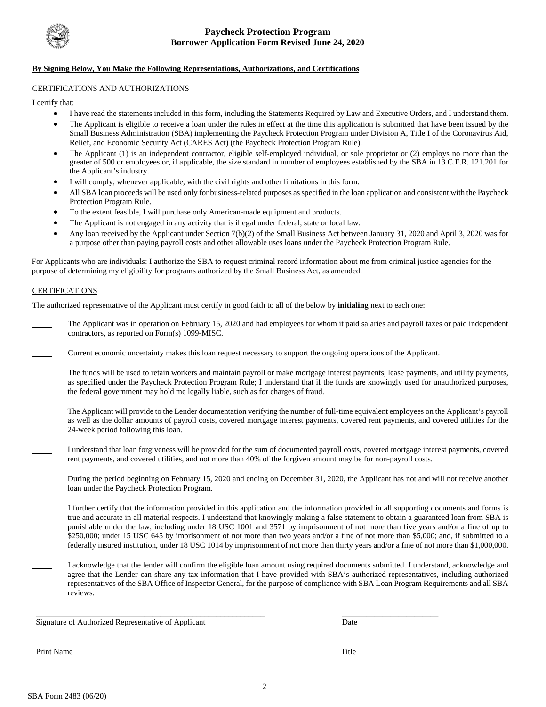

### **By Signing Below, You Make the Following Representations, Authorizations, and Certifications**

### CERTIFICATIONS AND AUTHORIZATIONS

I certify that:

- I have read the statements included in this form, including the Statements Required by Law and Executive Orders, and I understand them.
- The Applicant is eligible to receive a loan under the rules in effect at the time this application is submitted that have been issued by the Small Business Administration (SBA) implementing the Paycheck Protection Program under Division A, Title I of the Coronavirus Aid, Relief, and Economic Security Act (CARES Act) (the Paycheck Protection Program Rule).
- greater of 500 or employees or, if applicable, the size standard in number of employees established by the SBA in 13 C.F.R. 121.201 for • The Applicant (1) is an independent contractor, eligible self-employed individual, or sole proprietor or (2) employs no more than the the Applicant's industry.
- I will comply, whenever applicable, with the civil rights and other limitations in this form.
- All SBA loan proceeds will be used only for business-related purposes as specified in the loan application and consistent with the Paycheck Protection Program Rule.
- To the extent feasible, I will purchase only American-made equipment and products.
- The Applicant is not engaged in any activity that is illegal under federal, state or local law.
- Any loan received by the Applicant under Section 7(b)(2) of the Small Business Act between January 31, 2020 and April 3, 2020 was for a purpose other than paying payroll costs and other allowable uses loans under the Paycheck Protection Program Rule.

For Applicants who are individuals: I authorize the SBA to request criminal record information about me from criminal justice agencies for the purpose of determining my eligibility for programs authorized by the Small Business Act, as amended.

### **CERTIFICATIONS**

The authorized representative of the Applicant must certify in good faith to all of the below by **initialing** next to each one:

- The Applicant was in operation on February 15, 2020 and had employees for whom it paid salaries and payroll taxes or paid independent contractors, as reported on Form(s) 1099-MISC.
- Current economic uncertainty makes this loan request necessary to support the ongoing operations of the Applicant.
- The funds will be used to retain workers and maintain payroll or make mortgage interest payments, lease payments, and utility payments, the federal government may hold me legally liable, such as for charges of fraud. as specified under the Paycheck Protection Program Rule; I understand that if the funds are knowingly used for unauthorized purposes,
- The Applicant will provide to the Lender documentation verifying the number of full-time equivalent employees on the Applicant's payroll as well as the dollar amounts of payroll costs, covered mortgage interest payments, covered rent payments, and covered utilities for the 24-week period following this loan.
- rent payments, and covered utilities, and not more than 40% of the forgiven amount may be for non-payroll costs. I understand that loan forgiveness will be provided for the sum of documented payroll costs, covered mortgage interest payments, covered
- During the period beginning on February 15, 2020 and ending on December 31, 2020, the Applicant has not and will not receive another loan under the Paycheck Protection Program.
- true and accurate in all material respects. I understand that knowingly making a false statement to obtain a guaranteed loan from SBA is federally insured institution, under 18 USC 1014 by imprisonment of not more than thirty years and/or a fine of not more than \$1,000,000. I further certify that the information provided in this application and the information provided in all supporting documents and forms is punishable under the law, including under 18 USC 1001 and 3571 by imprisonment of not more than five years and/or a fine of up to \$250,000; under 15 USC 645 by imprisonment of not more than two years and/or a fine of not more than \$5,000; and, if submitted to a
- I acknowledge that the lender will confirm the eligible loan amount using required documents submitted. I understand, acknowledge and agree that the Lender can share any tax information that I have provided with SBA's authorized representatives, including authorized representatives of the SBA Office of Inspector General, for the purpose of compliance with SBA Loan Program Requirements and all SBA reviews.

Signature of Authorized Representative of Applicant Date

Print Name Title **The Community Community** Service Structure and Title **The Community Community Service** Structure Title

\_\_\_\_\_\_\_\_\_\_\_\_\_\_\_\_\_\_\_\_\_\_\_\_\_\_\_\_\_\_\_\_\_\_\_\_\_\_\_\_\_\_\_\_\_\_\_\_\_\_\_\_\_\_\_\_\_ \_\_\_\_\_\_\_\_\_\_\_\_\_\_\_\_\_\_\_\_\_\_\_\_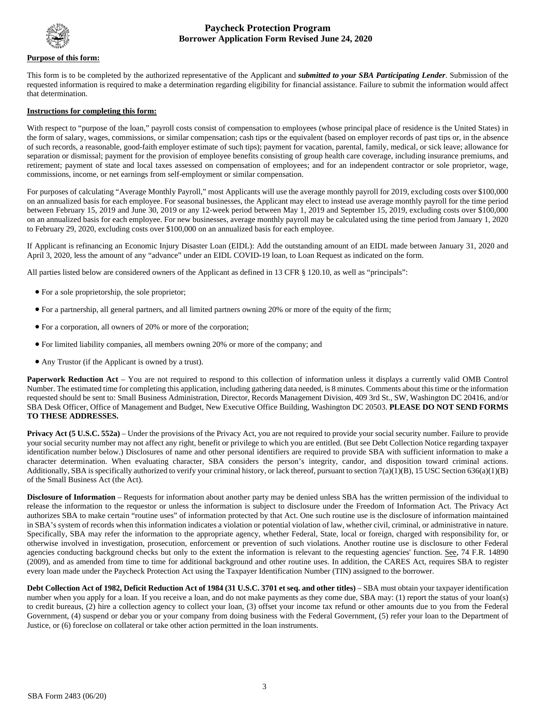

#### **Purpose of this form:**

 requested information is required to make a determination regarding eligibility for financial assistance. Failure to submit the information would affect This form is to be completed by the authorized representative of the Applicant and *submitted to your SBA Participating Lender*. Submission of the that determination.

#### **Instructions for completing this form:**

 With respect to "purpose of the loan," payroll costs consist of compensation to employees (whose principal place of residence is the United States) in the form of salary, wages, commissions, or similar compensation; cash tips or the equivalent (based on employer records of past tips or, in the absence of such records, a reasonable, good-faith employer estimate of such tips); payment for vacation, parental, family, medical, or sick leave; allowance for separation or dismissal; payment for the provision of employee benefits consisting of group health care coverage, including insurance premiums, and retirement; payment of state and local taxes assessed on compensation of employees; and for an independent contractor or sole proprietor, wage, commissions, income, or net earnings from self-employment or similar compensation.

 on an annualized basis for each employee. For seasonal businesses, the Applicant may elect to instead use average monthly payroll for the time period on an annualized basis for each employee. For new businesses, average monthly payroll may be calculated using the time period from January 1, 2020 For purposes of calculating "Average Monthly Payroll," most Applicants will use the average monthly payroll for 2019, excluding costs over \$100,000 between February 15, 2019 and June 30, 2019 or any 12-week period between May 1, 2019 and September 15, 2019, excluding costs over \$100,000 to February 29, 2020, excluding costs over \$100,000 on an annualized basis for each employee.

If Applicant is refinancing an Economic Injury Disaster Loan (EIDL): Add the outstanding amount of an EIDL made between January 31, 2020 and April 3, 2020, less the amount of any "advance" under an EIDL COVID-19 loan, to Loan Request as indicated on the form.

All parties listed below are considered owners of the Applicant as defined in 13 CFR § 120.10, as well as "principals":

- For a sole proprietorship, the sole proprietor;
- For a partnership, all general partners, and all limited partners owning 20% or more of the equity of the firm;
- For a corporation, all owners of 20% or more of the corporation;
- For limited liability companies, all members owning 20% or more of the company; and
- Any Trustor (if the Applicant is owned by a trust).

 requested should be sent to: Small Business Administration, Director, Records Management Division, 409 3rd St., SW, Washington DC 20416, and/or **Paperwork Reduction Act** – You are not required to respond to this collection of information unless it displays a currently valid OMB Control Number. The estimated time for completing this application, including gathering data needed, is 8 minutes. Comments about this time or the information SBA Desk Officer, Office of Management and Budget, New Executive Office Building, Washington DC 20503. **PLEASE DO NOT SEND FORMS TO THESE ADDRESSES.** 

 character determination. When evaluating character, SBA considers the person's integrity, candor, and disposition toward criminal actions. **Privacy Act (5 U.S.C. 552a)** – Under the provisions of the Privacy Act, you are not required to provide your social security number. Failure to provide your social security number may not affect any right, benefit or privilege to which you are entitled. (But see Debt Collection Notice regarding taxpayer identification number below.) Disclosures of name and other personal identifiers are required to provide SBA with sufficient information to make a Additionally, SBA is specifically authorized to verify your criminal history, or lack thereof, pursuant to section 7(a)(1)(B), 15 USC Section 636(a)(1)(B) of the Small Business Act (the Act).

 in SBA's system of records when this information indicates a violation or potential violation of law, whether civil, criminal, or administrative in nature. agencies conducting background checks but only to the extent the information is relevant to the requesting agencies' function. See, 74 F.R. 14890 **Disclosure of Information** – Requests for information about another party may be denied unless SBA has the written permission of the individual to release the information to the requestor or unless the information is subject to disclosure under the Freedom of Information Act. The Privacy Act authorizes SBA to make certain "routine uses" of information protected by that Act. One such routine use is the disclosure of information maintained Specifically, SBA may refer the information to the appropriate agency, whether Federal, State, local or foreign, charged with responsibility for, or otherwise involved in investigation, prosecution, enforcement or prevention of such violations. Another routine use is disclosure to other Federal (2009), and as amended from time to time for additional background and other routine uses. In addition, the CARES Act, requires SBA to register every loan made under the Paycheck Protection Act using the Taxpayer Identification Number (TIN) assigned to the borrower.

 number when you apply for a loan. If you receive a loan, and do not make payments as they come due, SBA may: (1) report the status of your loan(s) **Debt Collection Act of 1982, Deficit Reduction Act of 1984 (31 U.S.C. 3701 et seq. and other titles)** – SBA must obtain your taxpayer identification to credit bureaus, (2) hire a collection agency to collect your loan, (3) offset your income tax refund or other amounts due to you from the Federal Government, (4) suspend or debar you or your company from doing business with the Federal Government, (5) refer your loan to the Department of Justice, or (6) foreclose on collateral or take other action permitted in the loan instruments.